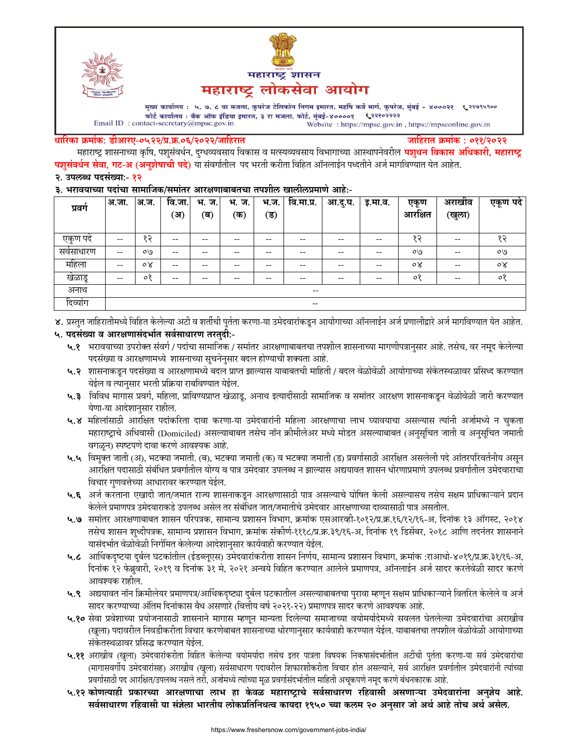



मुख्य कार्यालय : ५, ७, ८ वा मजला, कुपरेज टेलिफोन निगम इमारत, महर्षि कर्वे मार्ग, कुपरेज, मुंबई - ४०००२१ ९२९७९५९०० फोर्ट कार्यालय : बँक ऑफ इंडिया इमारत, ३ रा मजला, फोर्ट, मुंबई-४००००१ ९२११०२२२२ Email ID: contact-secretary@mpsc.gov.in Website: https://mpsc.gov.in, https://mpsconline.gov.in

#### धारिका क्रमांक: डीआरए-०५२२/प्र.क्र.०६/२०२२/जाहिरात

जाहिरात क्रमांक : ०११/२०२२

महाराष्ट्र शासनाच्या कृषि, पशुसंवर्धन, दुग्धव्यवसाय विकास व मत्स्यव्यवसाय विभागाच्या आस्थापनेवरील **पशुधन विकास अधिकारी, महाराष्ट्र** पशुसंवर्धन सेवा, गट-अ (अनुशेषाची पदे) या संवर्गातील पद भरती करीता विहित ऑनलाईन पध्दतीने अर्ज मार्गावण्यात येत आहेत. २. उपलब्ध पदसंख्या:- १२

#### ३. भरावयाच्या पदांचा सामाजिक/समांतर आरक्षणाबाबतचा तपशील खालीलप्रमाणे आहे:-

| प्रवग             | अ.जा.                                 | अ.ज.           | वि.जा.<br>्अ) | भ.<br>ज.<br>(ब) | भ.<br>ज.<br>′क) | भ.ज.<br>′ड) | वि.मा.प्र.                                            | आ.दु.घ. | इ.मा.व. | एकण<br>आरक्षित | अराखाव<br>(खुला) | एकूण पदे       |
|-------------------|---------------------------------------|----------------|---------------|-----------------|-----------------|-------------|-------------------------------------------------------|---------|---------|----------------|------------------|----------------|
| एकुण पदे          | $\hspace{0.05cm}$ – $\hspace{0.05cm}$ | 95             | $- -$         | --              | --              | --          | $- -$                                                 | --      | --      | १२             | $- -$            | 95             |
| सर्वसाधारण        | $- -$                                 | O <sub>0</sub> | $- -$         | --              | --              | $- -$       | $- -$                                                 | --      | $- -$   | ०७             | $- -$            | OQ             |
| महिला             | $\hspace{0.05cm}$ – $\hspace{0.05cm}$ | $\circ \times$ | $- -$         | --              | --              | --          | $- -$                                                 | --      | --      | $\circ \times$ | $- -$            | $\circ \times$ |
| खेळाडू            | $\hspace{0.05cm}$ – $\hspace{0.05cm}$ | $\circ$        | $- -$         | --              | --              | --          | $- -$                                                 | --      | --      | $\circ$        | $- -$            | $\circ$        |
| अनाथ              | $\overline{\phantom{a}}$              |                |               |                 |                 |             |                                                       |         |         |                |                  |                |
| $\sim$<br>दिव्याग |                                       |                |               |                 |                 |             | $\hspace{0.05cm} - \hspace{0.05cm} - \hspace{0.05cm}$ |         |         |                |                  |                |

४. प्रस्तुत जाहिरातीमध्ये विहित केलेल्या अटी व शर्तीची पुर्तता करणा-या उमेदवारांकडून आयोगाच्या ऑनलाईन अर्ज प्रणालीद्वारे अर्ज मार्गावण्यात येत आहेत.

# ५. पदसंख्या व आरक्षणासंदर्भात सर्वसाधारण तरतुदी:-

- ५.१ भरावयाच्या उपरोक्त संवर्ग / पदांचा सामाजिक / समांतर आरक्षणाबाबतचा तपशील शासनाच्या मागणीपत्रानुसार आहे. तसेच, वर नमूद केलेल्या पदसंख्या व आरक्षणामध्ये शासनाच्या सूचनेनुसार बदल होण्याची शक्यता आहे.
- ५.२ शासनाकडून पदसंख्या व आरक्षणामध्ये बदल प्राप्त झाल्यास याबाबतची माहिती / बदल वेळोवेळी आयोगाच्या संकेतस्थळावर प्रसिध्द करण्यात येईल व त्यानुसार भरती प्रक्रिया राबविण्यात येईल.
- ५.३ विविध मागास प्रवर्ग, महिला, प्राविण्यप्राप्त खेळाडू, अनाथ इत्यादींसाठी सामाजिक व समांतर आरक्षण शासनाकडून वेळोवेळी जारी करण्यात येणा-या आदेशानुसार राहील.
- ५.४ महिलांसाठी आरक्षित पदांकरिता दावा करणा-या उमेदवारांनी महिला आरक्षणाचा लाभ घ्यावयाचा असल्यास त्यांनी अर्जामध्ये न चुकता महाराष्ट्राचे अधिवासी (Domiciled) असल्याबाबत तसेच नॉन क्रीमीलेअर मध्ये मोडत असल्याबाबत (अनुसूचित जाती व अनुसूचित जमाती वगळून) स्पष्टपणे दावा करणे आवश्यक आहे.
- ५.५ विमुक्त जाती (अ), भटक्या जमाती. (ब), भटक्या जमाती (क) व भटक्या जमाती (ड) प्रवर्गासाठी आरक्षित असलेली पदे आंतरपरिवर्तनीय असुन आरक्षित पदासाठी संबंधित प्रवर्गातील योग्य व पात्र उमेदवार उपलब्ध न झाल्यास अद्ययावत शासन धोरणाप्रमाणे उपलब्ध प्रवर्गातील उमेदवाराचा विचार गुणवत्तेच्या आधारावर करण्यात येईल.
- ५.६ अर्ज करताना एखादी जात/जमात राज्य शासनाकडून आरक्षणासाठी पात्र असल्याचे घोषित केली असल्यासच तसेच सक्षम प्राधिकाऱ्याने प्रदान केलेले प्रमाणपत्र उमेदवाराकडे उपलब्ध असेल तर संबंधित जात/जमातीचे उमेदवार आरक्षणाच्या दाव्यासाठी पात्र असतील.
- ५.७ समांतर आरक्षणाबाबत शासन परिपत्रक, सामान्य प्रशासन विभाग, क्रमांक एसआरव्ही-१०१२/प्र.क्र.१६/१२/१६-अ, दिनांक १३ ऑगस्ट, २०१४ तसेच शासन शुध्दीपत्रक, सामान्य प्रशासन विभाग, क्रमांक संकीर्ण-१११८/प्र.क्र.३९/१६-अ, दिनांक १९ डिसेंबर, २०१८ आणि तदनंतर शासनाने यासंदर्भात वेळोवेळी निर्गमित केलेल्या आदेशानुसार कार्यवाही करण्यात येईल.
- ५.८ आर्थिकदृष्टया दुर्बल घटकांतील (ईडब्लूएस) उमेदवारांकरीता शासन निर्णय, सामान्य प्रशासन विभाग, क्रमांक :राआधो-४०१९/प्र.क्र.३१/१६-अ, दिनांक १२ फेब्रुवारी, २०१९ व दिनांक ३१ मे, २०२१ अन्वये विहित करण्यात आलेले प्रमाणपत्र, ऑनलाईन अर्ज सादर करतेवेळी सादर करणे आवश्यक राहील.
- ५.९ अद्ययावत नॉन क्रिमीलेयर प्रमाणपत्र/आर्थिकदृष्ट्या दुर्बल घटकातील असल्याबाबतचा पुरावा म्हणून सक्षम प्राधिकाऱ्याने वितरित केलेले व अर्ज सादर करण्याच्या अंतिम दिनांकास वैध असणारे (वित्तीय वर्ष २०२१-२२) प्रमाणपत्र सादर करणे आवश्यक आहे.
- ५.१० सेवा प्रवेशाच्या प्रयोजनासाठी शासनाने मागास म्हणून मान्यता दिलेल्या समाजाच्या वयोमर्यादेमध्ये सवलत घेतलेल्या उमेदवारांचा अराखीव (खुला) पदावरील निवडीकरीता विचार करणेबाबत शासनाच्या धोरणानुसार कार्यवाही करण्यात येईल. याबाबतचा तपशील वेळोवेळी आयोगाच्या संकेतस्थळावर प्रसिद्ध करण्यात येईल.
- ५.११ अराखीव (खुला) उमेदवारांकरीता विहित केलेल्या वयोमर्यादा तसेच इतर पात्रता विषयक निकषासंदर्भातील अटींची पुर्तता करणा-या सर्व उमेदवारांचा (मागासवर्गीय उमेदवारांसह) अराखीव (खुला) सर्वसाधारण पदावरील शिफारशीकरीता विचार होत असल्याने, सर्व आरक्षित प्रवर्गातील उमेदवारांनी त्यांच्या प्रवर्गासाठी पद आरक्षित/उपलब्ध नसले तरी, अर्जामध्ये त्यांच्या मूळ प्रवर्गासंदर्भातील माहिती अचूकपणे नमूद करणे बंधनकारक आहे.
- ५.१२ कोणत्याही प्रकारच्या आरक्षणाचा लाभ हा केवळ महाराष्ट्राचे सर्वसाधारण रहिवासी असणाऱ्या उमेदवारांना अनुज़ेय आहे. सर्वसाधारण रहिवासी या संज्ञेला भारतीय लोकप्रतिनिधत्व कायदा १९५० च्या कलम २० अनुसार जो अर्थ आहे तोच अर्थ असेल.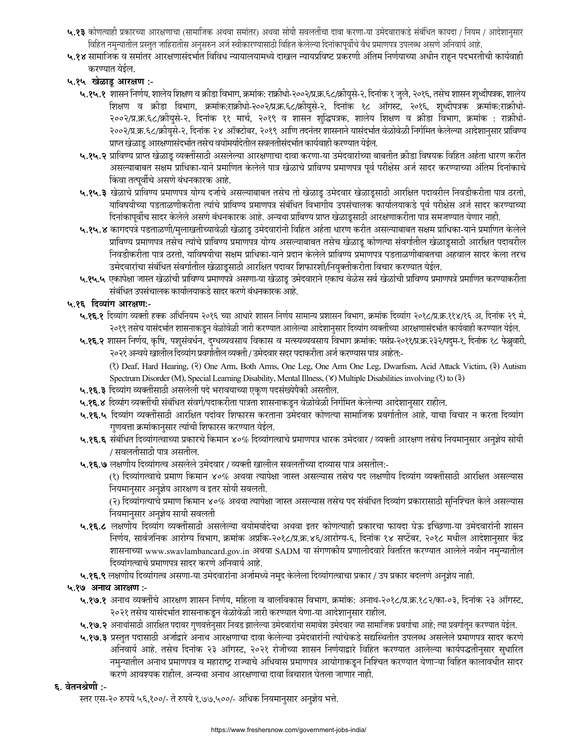- ५.१३ कोणत्याही प्रकारच्या आरक्षणाचा (सामाजिक अथवा समांतर) अथवा सोयी सवलतींचा दावा करणा-या उमेदवाराकडे संबंधित कायदा / नियम / आदेशानुसार विहित नमुन्यातील प्रस्तुत जाहिरातीस अनुसरुन अर्ज स्वीकारण्यासाठी विहित केलेल्या दिनांकापूर्वीचे वैध प्रमाणपत्र उपलब्ध असणे अनिवार्य आहे.
- ५.१४ सामाजिक व समांतर आरक्षणासंदर्भात विविध न्यायालयामध्ये दाखल न्यायप्रविष्ट प्रकरणी अंतिम निर्णयाच्या अधीन राहून पदभरतीची कार्यवाही करण्यात येईल.
- ५.१५ खेळाडू आरक्षण :-
	- ५.१५.१ शासन निर्णय, शालेय शिक्षण व क्रीडा विभाग, क्रमांक: राक्रीधो-२००२/प्र.क्र.६८/क्रीयुसे-२, दिनांक १ जुलै, २०१६, तसेच शासन शुध्दीपत्रक, शालेय शिक्षण व क्रीडा विभाग, क्रमांक:राक्रीधो-२००२/प्र.क.६८/क्रीयुसे-२, दिनांक १८ ऑगस्ट, २०१६, शुध्दीपत्रक क्रमांक:राक्रीधो-२००२/प्र.क्र.६८/क्रीयुसे-२, दिनांक ११ मार्च, २०१९ व शासन शुद्धिपत्रक, शालेय शिक्षण व क्रीडा विभाग, क्रमांक : राक्रीधो-२००२/प्र.क्र.६८/क्रीयसे-२, दिनांक २४ ऑक्टोबर, २०१९ आणि तदनंतर शासनाने यासंदर्भात वेळोवेळी निर्गमित केलेल्या आदेशानुसार प्राविण्य प्राप्त खेळाडू आरक्षणासंदर्भात तसेच वयोमर्यादेतील सवलतीसंदर्भात कार्यवाही करण्यात येईल.
	- ५.१५.२ प्राविण्य प्राप्त खेळाडू व्यक्तींसाठी असलेल्या आरक्षणाचा दावा करणा-या उमेदवारांच्या बाबतीत क्रीडा विषयक विहित अर्हता धारण करीत असल्याबाबत सक्षम प्राधिका-याने प्रमाणित केलेले पात्र खेळाचे प्राविण्य प्रमाणपत्र पूर्व परीक्षेस अर्ज सादर करण्याच्या अंतिम दिनांकाचे किंवा तत्पूर्वीचे असणे बंधनकारक आहे.
	- ५.१५.३ खेळाचे प्राविण्य प्रमाणपत्र योग्य दर्जाचे असल्याबाबत तसेच तो खेळाडू उमेदवार खेळाडूसाठी आरक्षित पदावरील निवडीकरीता पात्र ठरतो, याविषयीच्या पडताळणीकरीता त्यांचे प्राविण्य प्रमाणपत्र संबंधित विभागीय उपसंचालक कार्यालयाकडे पूर्व परीक्षेस अर्ज सादर करण्याच्या दिनांकापूर्वीच सादर केलेले असणे बंधनकारक आहे. अन्यथा प्राविण्य प्राप्त खेळाडूसाठी आरक्षणाकरीता पात्र समजण्यात येणार नाही.
	- ५.१५.४ कागदपत्रे पडताळणी/मुलाखतीच्यावेळी खेळाडू उमेदवारांनी विहित अर्हता धारण करीत असल्याबाबत सक्षम प्राधिका-याने प्रमाणित केलेले प्राविण्य प्रमाणपत्र तसेच त्यांचे प्राविण्य प्रमाणपत्र योग्य असल्याबाबत तसेच खेळाडू कोणत्या संवर्गातील खेळाडूसाठी आरक्षित पदावरील निवडीकरीता पात्र ठरतो, याविषयीचा सक्षम प्राधिका-याने प्रदान केलेले प्राविण्य प्रमाणपत्र पडताळणीबाबतचा अहवाल सादर केला तरच उमेदवारांचा संबंधित संवर्गातील खेळाडूसाठी आरक्षित पदावर शिफारशी/नियुक्तीकरीता विचार करण्यात येईल.
	- ५.१५.५ एकापेक्षा जास्त खेळांची प्राविण्य प्रमाणपत्रे असणा-या खेळाडू उमेदवाराने एकाच वेळेस सर्व खेळांची प्राविण्य प्रमाणपत्रे प्रमाणित करण्याकरीता संबंधित उपसंचालक कार्यालयाकडे सादर करणे बंधनकारक आहे.

## ५.१६ दिव्यांग आरक्षण:-

- ५.१६.१ दिव्यांग व्यक्ती हक्क अधिनियम २०१६ च्या आधारे शासन निर्णय सामान्य प्रशासन विभाग, क्रमांक दिव्यांग २०१८/प्र.क्र.११४/१६ अ, दिनांक २९ मे, २०१९ तसेच यासंदर्भात शासनाकडून वेळोवेळी जारी करण्यात आलेल्या आदेशानुसार दिव्यांग व्यक्तींच्या आरक्षणासंदर्भात कार्यवाही करण्यात येईल.
- ५.१६.२ शासन निर्णय, कृषि, पशुसंवर्धन, दुग्धव्यवसाय विकास व मत्स्यव्यवसाय विभाग क्रमांक: पसंप्र-२०११/प्र.क्र.२३२/पदुम-१, दिनांक १८ फेब्रुवारी, २०२१ अन्वये खालील दिव्यांग प्रवर्गातील व्यक्ती / उमेदवार सदर पदाकरीता अर्ज करण्यास पात्र आहेत:-

(?) Deaf, Hard Hearing, (?) One Arm, Both Arms, One Leg, One Arm One Leg, Dwarfism, Acid Attack Victim, (3) Autism Spectrum Disorder (M), Special Learning Disability, Mental Illness, (Y) Multiple Disabilities involving (?) to (?)

- ५.१६.३ दिव्यांग व्यक्तींसाठी असलेली पदे भरावयाच्या एकृण पदसंख्येपैकी असतील.
- ५.१६.४ दिव्यांग व्यक्तींची संबंधित संवर्ग/पदाकरीता पात्रता शासनाकडून वेळोवेळी निर्गमित केलेल्या आदेशानुसार राहील.
- ५.**१६.५** दिव्यांग व्यक्तींसाठी आरक्षित पदांवर शिफारस करताना उमेदवार कोणत्या सामाजिक प्रवर्गातील आहे, याचा विचार न करता दिव्यांग गुणवत्ता क्रमांकानुसार त्यांची शिफारस करण्यात येईल.
- ५.१६.६ संबंधित दिव्यांगत्वाच्या प्रकारचे किमान ४०% दिव्यांगत्वाचे प्रमाणपत्र धारक उमेदवार / व्यक्ती आरक्षण तसेच नियमानुसार अनुज्ञेय सोयी / सवलतीसाठी पात्र असतील.
- ५.१६.७ लक्षणीय दिव्यांगत्व असलेले उमेदवार / व्यक्ती खालील सवलतींच्या दाव्यास पात्र असतील:-

(१) दिव्यांगत्वाचे प्रमाण किमान ४०% अथवा त्यापेक्षा जास्त असल्यास तसेच पद लक्षणीय दिव्यांग व्यक्तींसाठी आरक्षित असल्यास नियमानुसार अनुज्ञेय आरक्षण व इतर सोयी सवलती.

(२) दिव्यांगत्याचे प्रमाण किमान ४०% अथवा त्यापेक्षा जास्त असल्यास तसेच पद संबंधित दिव्यांग प्रकारासाठी सुनिश्चित केले असल्यास नियमानुसार अनुज्ञेय सायी सवलती

- ५.१६.८ लक्षणीय दिव्यांग व्यक्तींसाठी असलेल्या वयोमर्यादेचा अथवा इतर कोणत्याही प्रकारचा फायदा घेऊ इच्छिणा-या उमेदवारांनी शासन निर्णय, सार्वजनिक आरोग्य विभाग, क्रमांक अप्रकि-२०१८/प्र.क्र.४६/आरोग्य-६, दिनांक १४ सप्टेंबर, २०१८ मधील आदेशानुसार केंद्र शासनाच्या www.swavlambancard.gov.in अथवा SADM या संगणकीय प्रणालीदवारे वितरित करण्यात आलेले नवीन नमुन्यातील दिव्यांगत्वाचे प्रमाणपत्र सादर करणे अनिवार्य आहे.
- ५.१६.९ लक्षणीय दिव्यांगत्व असणा-या उमेदवारांना अर्जामध्ये नमूद केलेला दिव्यांगत्वाचा प्रकार / उप प्रकार बदलणे अनुज्ञेय नाही.

#### ५.१७ अनाथ आरक्षण :-

- ५.१७.१ अनाथ व्यक्तींचे आरक्षण शासन निर्णय, महिला व बालविकास विभाग, क्रमांक: अनाथ-२०१८/प्र.क्र.१८२/का-०३, दिनांक २३ ऑगस्ट, २०२१ तसेच यासंदर्भात शासनाकडून वेळोवेळी जारी करण्यात येणा-या आदेशानुसार राहील.
- ५.१७.२ अनाथांसाठी आरक्षित पदावर गुणवत्तेनुसार निवड झालेल्या उमेदवारांचा समावेश उमेदवार ज्या सामाजिक प्रवर्गाचा आहे; त्या प्रवर्गातून करण्यात येईल.
- ५.१७.३ प्रस्तुत पदासाठी अर्जाद्वारे अनाथ आरक्षणाचा दावा केलेल्या उमेदवारांनी त्यांचेकडे सद्यस्थितीत उपलब्ध असलेले प्रमाणपत्र सादर करणे अनिवार्य आहे. तसेच दिनांक २३ ऑगस्ट, २०२१ रोजीच्या शासन निर्णयाद्वारे विहित करण्यात आलेल्या कार्यपद्धतीनुसार सुधारित नमुन्यातील अनाथ प्रमाणपत्र व महाराष्ट्र राज्याचे अधिवास प्रमाणपत्र आयोगाकडून निश्चित करण्यात येणाऱ्या विहित कालावधीत सादर करणे आवश्यक राहील. अन्यथा अनाथ आरक्षणाचा दावा विचारात घेतला जाणार नाही.

#### ६. वेतनश्रेणी :-

स्तर एस-२० रुपये ५६,१००/- ते रुपये १,७७,५००/- अधिक नियमानुसार अनुज्ञेय भत्ते.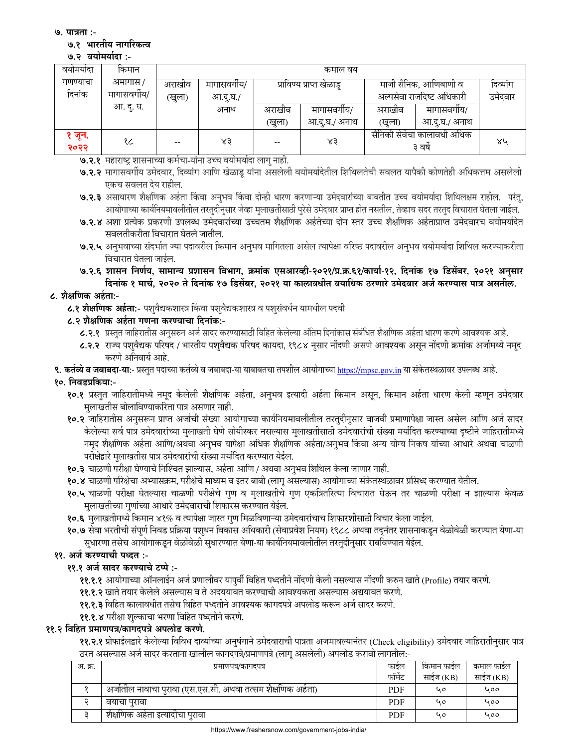७. पात्रता :-

#### ७.१ भारतीय नागरिकत्व

#### ७.२ वयोमर्यादा:-

| वयामयादा       | किमान      | कमाल वय              |          |        |                          |                                      |              |         |  |
|----------------|------------|----------------------|----------|--------|--------------------------|--------------------------------------|--------------|---------|--|
| गणण्याचा       | अमागास /   | अराखीव<br>मागासवगीय/ |          |        | प्राविण्य प्राप्त खेळाडू | माजी सैनिक, आणिबाणी व                | दिव्यांग     |         |  |
| दिनांक         | मागासवगीय/ | (खुला)               | आ.दू.घ./ |        |                          | अल्पसेवा राजदिष्ट अधिकारी            |              | उमेदवार |  |
|                | आ. दु. घ.  |                      | अनाथ     | अराखीव | मागासवगाय/               | अराखीव                               | मागासवगीय/   |         |  |
|                |            |                      |          | (खुला) | आ.द.घ./ अनाथ             | (खुला)                               | आ.द.घ./ अनाथ |         |  |
| १ जून,<br>२०२२ | १८         | $- -$                | ४३       | $- -$  | ४३                       | सैनिकी सेवेचा कालावधी अधिक<br>३ वर्ष |              | ४५      |  |

- ७.२.१ महाराष्ट्र शासनाच्या कर्मचा-यांना उच्च वयोमर्यादा लागू नाही.
- ७.२.२ मागासवर्गीय उमेदवार, दिव्यांग आणि खेळाडू यांना असलेली वयोमर्यादेतील शिथिलतेची सवलत यापैकी कोणतेही अधिकत्तम असलेली एकच सवलत देय राहील.
- ७.२.३ असाधारण शैक्षणिक अर्हता किंवा अनुभव किंवा दोन्ही धारण करणाऱ्या उमेदवारांच्या बाबतीत उच्च वयोमर्यादा शिथिलक्षम राहील. परंतु, आयोगाच्या कार्यनियमावलीतील तरतुदीनुसार जेव्हा मुलाखतीसाठी पुरेसे उमेदवार प्राप्त होत नसतील, तेव्हाच सदर तरतुद विचारात घेतला जाईल.
- ७.२.४ अशा प्रत्येक प्रकरणी उपलब्ध उमेदवारांच्या उच्चतम शैक्षणिक अर्हतेच्या दोन स्तर उच्च शैक्षणिक अर्हताप्राप्त उमेदवारच वयोमर्यादेत सवलतीकरीता विचारात घेतले जातील.
- ७.२.५ अनुभवाच्या संदर्भात ज्या पदावरील किमान अनुभव मागितला असेल त्यापेक्षा वरिष्ठ पदावरील अनुभव वयोमर्यादा शिथिल करण्याकरीता विचारात घेतला जाईल.
- ७.२.६ शासन निर्णय, सामान्य प्रशासन विभाग, क्रमांक एसआरव्ही-२०२१/प्र.क्र.६१/कार्या-१२, दिनांक १७ डिसेंबर, २०२१ अनुसार दिनांक १ मार्च, २०२० ते दिनांक १७ डिसेंबर, २०२१ या कालावधीत वयाधिक ठरणारे उमेदवार अर्ज करण्यास पात्र असतील.

# ८. शैक्षणिक अर्हता:-

८.१ शैक्षणिक अर्हता:- पशुवैद्यकशास्त्र किंवा पशुवैद्यकशास्त्र व पशुसंवर्धन यामधील पदवी

# ८.२ शैक्षणिक अर्हता गणना करण्याचा दिनांक:-

- ८.२.१ प्रस्तुत जाहिरातीस अनुसरुन अर्ज सादर करण्यासाठी विहित केलेल्या अंतिम दिनांकास संबंधित शैक्षणिक अर्हता धारण करणे आवश्यक आहे.
- ८.२.२ राज्य पशुवैद्यक परिषद / भारतीय पशुवैद्यक परिषद कायदा, १९८४ नुसार नोंदणी असणे आवश्यक असून नोंदणी क्रमांक अर्जामध्ये नमूद करणे अनिवार्य आहे.
- **९. कर्तव्ये व जबाबदा-या:** प्रस्तुत पदाच्या कर्तव्ये व जबाबदा-या याबाबतचा तपशील आयोगाच्या <u>https://mpsc.gov.in</u> या संकेतस्थळावर उपलब्ध आहे.

# १०. निवडप्रकिया:-

- १०.१ प्रस्तुत जाहिरातीमध्ये नमूद केलेली शैक्षणिक अर्हता, अनुभव इत्यादी अर्हता किमान असून, किमान अर्हता धारण केली म्हणून उमेदवार मुलाखतीस बोलाविण्याकरिता पात्र असणार नाही.
- १०.२ जाहिरातीस अनुसरून प्राप्त अर्जाची संख्या आयोगाच्या कार्यनियमावलीतील तरतुदीनुसार वाजवी प्रमाणापेक्षा जास्त असेल आणि अर्ज सादर केलेल्या सर्व पात्र उमेदवारांच्या मुलाखती घेणे सोयीस्कर नसल्यास मुलाखतीसाठी उमेदवारांची संख्या मर्यादित करण्याच्या दृष्टीने जाहिरातीमध्ये नमूद शैक्षणिक अर्हता आणि/अथवा अनुभव यापेक्षा अधिक शैक्षणिक अर्हता/अनुभव किंवा अन्य योग्य निकष यांच्या आधारे अथवा चाळणी परीक्षेद्वारे मुलाखतीस पात्र उमेदवारांची संख्या मर्यादित करण्यात येईल.
- १०.३ चाळणी परीक्षा घेण्याचे निश्चित झाल्यास, अर्हता आणि / अथवा अनुभव शिथिल केला जाणार नाही.
- १०.४ चाळणी परिक्षेचा अभ्यासक्रम, परीक्षेचे माध्यम व इतर बाबी (लागू असल्यास) आयोगाच्या संकेतस्थळावर प्रसिध्द करण्यात येतील.
- १०.५ चाळणी परीक्षा घेतल्यास चाळणी परीक्षेचे गुण व मुलाखतीचे गुण एकत्रितरित्या विचारात घेऊन तर चाळणी परीक्षा न झाल्यास केवळ मुलाखतीच्या गुणांच्या आधारे उमेदवाराची शिफारस करण्यात येईल.
- १०.६ मुलाखतीमध्ये किमान ४१% व त्यापेक्षा जास्त गुण मिळविणाऱ्या उमेदवारांचाच शिफारशीसाठी विचार केला जाईल.
- १०.७ सेवा भरतीची संपूर्ण निवड प्रक्रिया पशुधन विकास अधिकारी (सेवाप्रवेश नियम) १९८८ अथवा तद्नंतर शासनाकडून वेळोवेळी करण्यात येणा-या सुधारणा तसेच आयोगाकडून वेळोवेळी सुधारण्यात येणा-या कार्यानयमावलीतील तरतुदीनुसार राबविण्यात येईल.

# ११. अर्ज करण्याची पध्दत :-

# ११.१ अर्ज सादर करण्याचे टप्पे :-

- **११.१.१** आयोगाच्या ऑनलाईन अर्ज प्रणालीवर यापुर्वी विहित पध्दतीने नोंदणी केली नसल्यास नोंदणी करुन खाते (Profile) तयार करणे.
- ११.१.२ खाते तयार केलेले असल्यास व ते अदययावत करण्याची आवश्यकता असल्यास अद्ययावत करणे.
- ११.१.३ विहित कालावधीत तसेच विहित पध्दतीने आवश्यक कागदपत्रे अपलोड करून अर्ज सादर करणे.
- ११.१.४ परीक्षा शुल्काचा भरणा विहित पध्दतीने करणे.

## ११.२ विहित प्रमाणपत्र/कागदपत्रे अपलोड करणे.

**११.२.१** प्रोफाईलद्वारे केलेल्या विविध दाव्यांच्या अनुषंगाने उमेदवाराची पात्रता अजमावल्यानंतर (Check eligibility) उमेदवार जाहिरातीनुसार पात्र ठरत असल्यास अर्ज सादर करताना खालील कागदपत्रे/प्रमाणपत्रे (लागू असलेली) अपलोड करावी लागतील:-

| अ. क्र. | प्रमाणपत्र/कागदपत्र                                        | फाइल       | किमान फाईल | कमाल फाइल |
|---------|------------------------------------------------------------|------------|------------|-----------|
|         |                                                            | फॉर्मेट    | साईज (KB)  | साईज (KB) |
|         | अजोतील नावाचा पुरावा (एस.एस.सी. अथवा तत्सम शैक्षणिक अहेता) | <b>PDF</b> | 40         | 400       |
|         | वयाचा परावा                                                | <b>PDF</b> | 40         | 000       |
|         | शैक्षोणक अहेता इत्यादोचा पुरावा                            | <b>PDF</b> | 40         | 000       |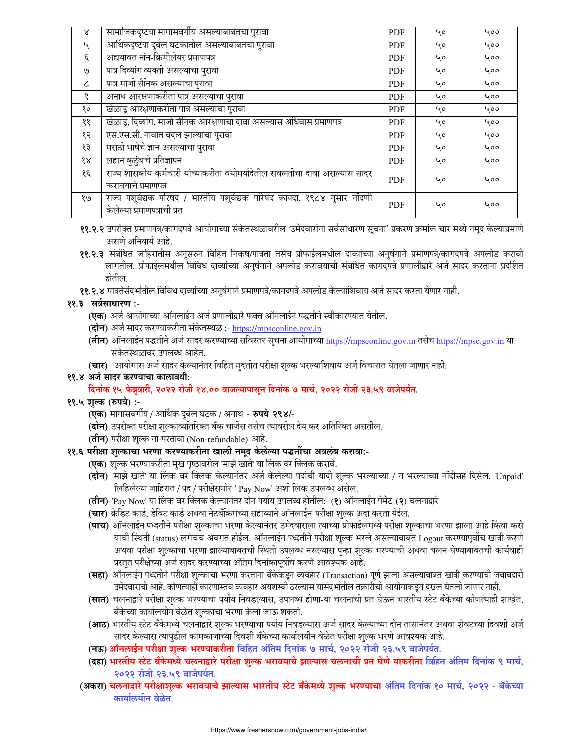| $\boldsymbol{\lambda}$ | सामाजिकदृष्टया मागासवर्गीय असल्याबाबतचा पुरावा                                                         | <b>PDF</b> | 40 | 400 |
|------------------------|--------------------------------------------------------------------------------------------------------|------------|----|-----|
| ५                      | आर्थिकदृष्टया दुर्बल घटकातील असल्याबाबतचा पुरावा                                                       | <b>PDF</b> | ५० | 400 |
| ξ.                     | अद्ययावत नॉन-क्रिमीलेयर प्रमाणपत्र                                                                     | <b>PDF</b> | 40 | 400 |
| ٯا                     | पात्र दिव्यांग व्यक्ती असल्याचा पुरावा                                                                 | <b>PDF</b> | 40 | 400 |
| $\epsilon$             | पात्र माजी सैनिक असल्याचा पुरावा                                                                       | <b>PDF</b> | 40 | 400 |
| ৎ                      | अनाथ आरक्षणाकरीता पात्र असल्याचा पुरावा                                                                | <b>PDF</b> | 40 | 400 |
| १०                     | खेळाडू आरक्षणाकरीता पात्र असल्याचा पुरावा                                                              | <b>PDF</b> | 40 | 400 |
| ११                     | खेळाडू, दिव्यांग, माजी सैनिक आरक्षणाचा दावा असल्यास अधिवास प्रमाणपत्र                                  | <b>PDF</b> | 40 | 400 |
| १२                     | एस.एस.सी. नावात बदल झाल्याचा पुरावा                                                                    | <b>PDF</b> | 40 | 400 |
| १३                     | मराठी भाषेचे ज्ञान असल्याचा पुरावा                                                                     | <b>PDF</b> | 40 | 400 |
| १४                     | लहान कुटुंबाचे प्रतिज्ञापन                                                                             | <b>PDF</b> | 40 | 400 |
| १६                     | राज्य शासकीय कर्मचारी यांच्याकरीता वयोमर्यादेतील सवलतीचा दावा असल्यास सादर<br>करावयाचे प्रमाणपत्र      | <b>PDF</b> | 40 | 400 |
| १७                     | राज्य पशुवैद्यक परिषद / भारतीय पशुवैद्यक परिषद कायदा, १९८४ नुसार नोंदणी<br>केलेल्या प्रमाणपत्राची प्रत | <b>PDF</b> | 40 | 400 |

- ११.२.२ उपरोक्त प्रमाणपत्र/कागदपत्रे आयोगाच्या संकेतस्थळावरील 'उमेदवारांना सर्वसाधारण सूचना' प्रकरण क्रमांक चार मध्ये नमूद केल्याप्रमाणे असणे अनिवार्य आहे.
- ११.२.३ संबंधित जाहिरातीस अनुसरुन विहित निकष/पात्रता तसेच प्रोफाईलमधील दाव्यांच्या अनुषंगाने प्रमाणपत्रे/कागदपत्रे अपलोड करावी लागतील. प्रोफाईलमधील विविध दाव्यांच्या अनुषंगाने अपलोड करावयाची संबधित कागदपत्रे प्रणालीद्वारे अर्ज सादर करताना प्रदर्शित होतील.
- ११.२.४ पात्रतेसंदर्भातील विविध दाव्यांच्या अनुषंगाने प्रमाणपत्रे/कागदपत्रे अपलोड केल्याशिवाय अर्ज सादर करता येणार नाही.

## ११.३ सर्वसाधारण :-

- **(एक)** अर्ज आयोगाच्या ऑनलाईन अर्ज प्रणालीद्वारे फक्त ऑनलाईन पद्धतीने स्वीकारण्यात येतील.
- (दोन) अर्ज सादर करण्याकरीता संकेतस्थळ :- https://mpsconline.gov.in
- (तीन) ऑनलाईन पद्धतीने अर्ज सादर करण्याच्या सविस्तर सूचना आयोगाच्या https://mpsconline.gov.in तसेच https://mpsc.gov.in या संकेतस्थळावर उपलब्ध आहेत.
- (चार) आयोगास अर्ज सादर केल्यानंतर विहित मुदतीत परीक्षा शुल्क भरल्याशिवाय अर्ज विचारात घेतला जाणार नाही.

## ११.४ अर्ज सादर करण्याचा कालावधीः-

# दिनांक १५ फेब्रुवारी, २०२२ रोजी १४.०० वाजल्यापासून दिनांक ७ मार्च, २०२२ रोजी २३.५९ वाजेपर्यंत.

## ११.५ शुल्क (रुपये) :-

- **(एक)** मागासवर्गीय / आर्थिक दुर्बल घटक / अनाथ **रुपये २९४/**-
- **(दोन)** उपरोक्त परीक्षा शुल्काव्यतिरिक्त बँक चार्जेस तसेच त्यावरील देय कर अतिरिक्त असतील.
- (**तीन**) परीक्षा शुल्क ना-परतावा (Non-refundable) आहे.

# ११.६ परीक्षा शुल्काचा भरणा करण्याकरीता खाली नमूद केलेल्या पद्धतींचा अवलंब करावा:-

- **(एक)** शुल्क भरण्याकरीता मुख पृष्ठावरील 'माझे खाते' या लिंक वर क्लिक करावे.
- (**दोन**) 'माझे खाते' या लिंक वर क्लिक केल्यानंतर अर्ज केलेल्या पदांची यादी शुल्क भरल्याच्या / न भरल्याच्या नोंदीसह दिसेल. 'Unpaid' लिहिलेल्या जाहिरात / पद / परीक्षेसमोर ' Pay Now' अशी लिंक उपलब्ध असेल.
- (**तीन**) 'Pay Now' या लिंक वर क्लिक केल्यानंतर दोन पर्याय उपलब्ध होतील:- (१) ऑनलाईन पेमेंट (२) चलनाद्वारे
- (**चार**) क्रेडिट कार्ड, डेबिट कार्ड अथवा नेटबँकिंगच्या सहाय्याने ऑनलाईन परीक्षा शुल्क अदा करता येईल.
- **(पाच)** ऑनलाईन पध्दतीने परीक्षा शुल्काचा भरणा केल्यानंतर उमेदवाराला त्याच्या प्रोफाईलमध्ये परीक्षा शुल्काचा भरणा झाला आहे किंवा कसे याची स्थिती (status) लगेचच अवगत होईल. ऑनलाईन पध्दतीने परीक्षा शुल्क भरले असल्याबाबत Logout करण्यापूर्वीच खात्री करणे अथवा परीक्षा शुल्काचा भरणा झाल्याबाबतची स्थिती उपलब्ध नसल्यास पुन्हा शुल्क भरण्याची अथवा चलन घेण्याबाबतची कार्यवाही प्रस्तुत परीक्षेच्या अर्ज सादर करण्याच्या अंतिम दिनांकापूर्वीच करणे आवश्यक आहे.
- **(सहा)** ऑनलाईन पध्दतीने परीक्षा शुल्काचा भरणा करताना बँकेकडून व्यवहार (Transaction) पूर्ण झाला असल्याबाबत खात्री करण्याची जबाबदारी उमेदवाराची आहे. कोणत्याही कारणास्तव व्यवहार अयशस्वी ठरल्यास यासंदर्भातील तक्रारीची आयोगाकडून दखल घेतली जाणार नाही.
- (**सात**) चलनाद्वारे परीक्षा शुल्क भरण्याचा पर्याय निवडल्यास, उपलब्ध होणा-या चलनाची प्रत घेऊन भारतीय स्टेट बॅकेच्या कोणत्याही शाखेत, बँकेच्या कार्यालयीन वेळेत शुल्काचा भरणा केला जाऊ शकतो.
- (**आठ**) भारतीय स्टेट बँकेमध्ये चलनाद्वारे शुल्क भरण्याचा पर्याय निवडल्यास अर्ज सादर केल्याच्या दोन तासानंतर अथवा शेवटच्या दिवशी अर्ज सादर केल्यास त्यापुढील कामकाजाच्या दिवशी बँकेच्या कार्यालयीन वेळेत परीक्षा शुल्क भरणे आवश्यक आहे.
- (नऊ) ऑनलाईन परीक्षा शुल्क भरण्याकरीता विहित अंतिम दिनांक ७ मार्च, २०२२ रोजी २३.५९ वाजेपर्यंत.
- (दहा) भारतीय स्टेट बँकेमध्ये चलनाद्वारे परीक्षा शुल्क भरावयाचे झाल्यास चलनाची प्रत घेणे याकरीता विहित अंतिम दिनांक ९ मार्च, २०२२ रोजी २३.५९ वाजेपर्यंत.
- (अकरा) चलनाद्वारे परीक्षाशुल्क भरावयाचे झाल्यास भारतीय स्टेट बँकेमध्ये शुल्क भरण्याचा अंतिम दिनांक १० मार्च, २०२२ बँकेच्या कार्यालयीन वेळेत.